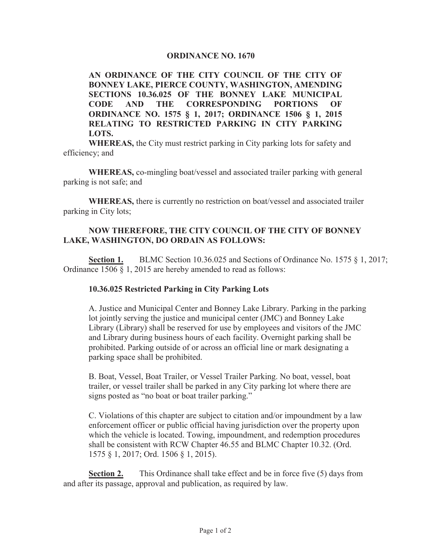#### **ORDINANCE NO. 1670**

**AN ORDINANCE OF THE CITY COUNCIL OF THE CITY OF BONNEY LAKE, PIERCE COUNTY, WASHINGTON, AMENDING 6ECTIONS 10.36.025 OF THE BONNEY LAKE MUNICIPAL CODE AND THE CORRESPONDING PORTIONS OF ORDINANCE NO. 1575 § 1, 2017; ORDINANCE 1506 § 1, 2015 RELATING TO RESTRICTED PARKING IN CITY PARKING LOTS.**

**WHEREAS,** the City must restrict parking in City parking lots for safety and efficiency; and

**WHEREAS,** co-mingling boat/vessel and associated trailer parking with general parking is not safe; and

**WHEREAS,** there is currently no restriction on boat/vessel and associated trailer parking in City lots;

### **NOW THEREFORE, THE CITY COUNCIL OF THE CITY OF BONNEY LAKE, WASHINGTON, DO ORDAIN AS FOLLOWS:**

**Section 1.** BLMC Section 10.36.025 and Sections of Ordinance No. 1575  $\S$  1, 2017; Ordinance 1506 § 1, 2015 are hereby amended to read as follows:

## **10.36.025 Restricted Parking in City Parking Lots**

A. Justice and Municipal Center and Bonney Lake Library. Parking in the parking lot jointly serving the justice and municipal center (JMC) and Bonney Lake Library (Library) shall be reserved for use by employees and visitors of the JMC and Library during business hours of each facility. Overnight parking shall be prohibited. Parking outside of or across an official line or mark designating a parking space shall be prohibited.

B. Boat, Vessel, Boat Trailer, or Vessel Trailer Parking. No boat, vessel, boat trailer, or vessel trailer shall be parked in any City parking lot where there are signs posted as "no boat or boat trailer parking."

C. Violations of this chapter are subject to citation and/or impoundment by a law enforcement officer or public official having jurisdiction over the property upon which the vehicle is located. Towing, impoundment, and redemption procedures shall be consistent with RCW Chapter 46.55 and BLMC Chapter 10.32. (Ord. 1575 § 1, 2017; Ord. 1506 § 1, 2015).

**Section 2.** This Ordinance shall take effect and be in force five (5) days from and after its passage, approval and publication, as required by law.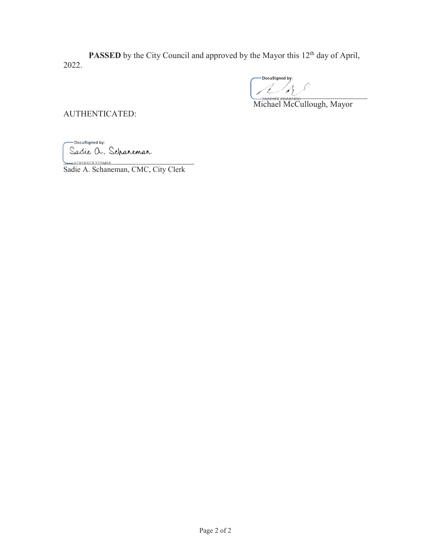**PASSED** by the City Council and approved by the Mayor this 12<sup>th</sup> day of April, 2022.

DocuSigned by:  $\frac{1}{2}$ 

Michael McCullough, Mayor

AUTHENTICATED:

-DocuSigned by: Sadie a. Scharemar  $\bigcup$  FOBSEFCE37394E8

Sadie A. Schaneman, CMC, City Clerk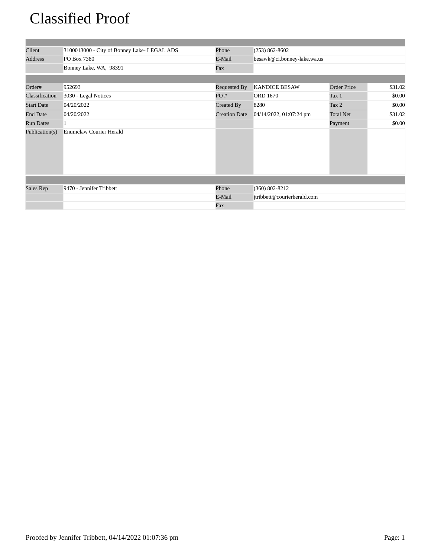# Classified Proof

| Client            | 3100013000 - City of Bonney Lake- LEGAL ADS | Phone                | $(253) 862 - 8602$          |                    |         |
|-------------------|---------------------------------------------|----------------------|-----------------------------|--------------------|---------|
| Address           | PO Box 7380                                 | E-Mail               | besawk@ci.bonney-lake.wa.us |                    |         |
|                   | Bonney Lake, WA, 98391                      | Fax                  |                             |                    |         |
|                   |                                             |                      |                             |                    |         |
| Order#            | 952693                                      | Requested By         | <b>KANDICE BESAW</b>        | <b>Order Price</b> | \$31.02 |
| Classification    | 3030 - Legal Notices                        | PO#                  | <b>ORD 1670</b>             | Tax 1              | \$0.00  |
| <b>Start Date</b> | 04/20/2022                                  | Created By           | 8280                        | Tax 2              | \$0.00  |
| <b>End Date</b>   | 04/20/2022                                  | <b>Creation Date</b> | 04/14/2022, 01:07:24 pm     | <b>Total Net</b>   | \$31.02 |
| <b>Run Dates</b>  |                                             |                      |                             | Payment            | \$0.00  |
| Publication(s)    | <b>Enumclaw Courier Herald</b>              |                      |                             |                    |         |
|                   |                                             |                      |                             |                    |         |
| Sales Rep         | 9470 - Jennifer Tribbett                    | Phone                | $(360) 802 - 8212$          |                    |         |
|                   |                                             | E-Mail               | jtribbett@courierherald.com |                    |         |
|                   |                                             | Fax                  |                             |                    |         |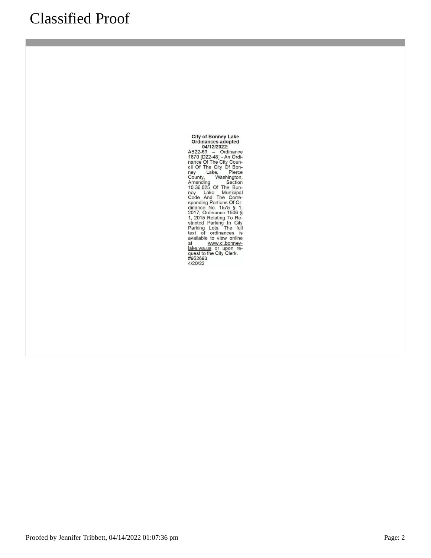City of Bonney Lake<br>
Ordinances adopted<br>
04/12/022:<br>
AB22-63 – Ordinance<br>
1670 [D22-48] - An Ordinance Of The City Conney<br>
nance Of The City Of Bonney<br>
Lake, Pierce<br>
County, Washington,<br>
10.36.025 Of The Bonney<br>
Lake Muni at www.ci.bonney<br>at the www.ci.bonney<br>lake.wa.us or upon re-<br>quest to the City Clerk.<br>#952693<br>4/20/22